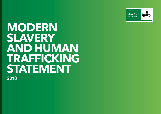

**MODERN SLAVERY AND HUMAN TRAFFICKING STATEMENT** 2018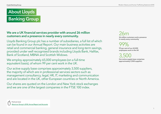# About Lloyds **Banking Group**

#### We are a UK financial services provider with around 26 million customers and a presence in nearly every community.

Lloyds Banking Group plc has a number of subsidiaries, a full list of which can be found in our Annual Report. Our main business activities are retail and commercial banking, general insurance and long-term savings, provided under well recognised brands including Lloyds Bank, Halifax, Bank of Scotland, MBNA and Scottish Widows.

We employ approximately 65,000 employees (on a full-time equivalent basis), of whom 99 per cent work in the UK.

Our active supply base comprises approximately 3,500 suppliers, the majority of which are in professional services sectors such as management consultancy, legal, HR, IT, marketing and communication and are located in the UK, other European countries or North America.

Our shares are quoted on the London and New York stock exchanges and we are one of the largest companies in the FTSE 100 index.

## $26m$

26 million customers and a presence in nearly every community

99%

99 per cent of our 65,000 employees work in the UK

3,500

Our active supply base comprises approximately 3,500 suppliers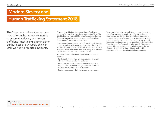### Modern Slavery and

## Human Trafficking Statement 2018

This Statement outlines the steps we have taken in the last twelve months to ensure that slavery and human trafficking is not taking place in either our business or our supply chain. In 2018 we had no reported incidents.

This is our third Modern Slavery and Human Trafficking Statement<sup>1</sup>. It is made in accordance with section 54(1) of the UK's Modern Slavery Act 2015 and applies to Lloyds Banking Group plc, its subsidiaries, employees and officers of the Group for the financial year ending 2018.

This Statement was approved by the Board of Lloyds Banking Group plc, and that of its principal subsidiaries Lloyds Bank plc, Bank of Scotland plc and HBOS plc in February 2019. The remaining subsidiaries report into these principal subsidiaries and this statement is approved on their behalf.

As outlined in our last statement, in 2018 we focused our efforts on:

- Raising colleague and customer awareness of the risks of modern slavery and human trafficking
- Expanding our efforts to combat modern slavery as a financial crime, including through the expansion of our collaborative work with external partners
- Reviewing our supply chain risk assessment processes

We do not tolerate slavery, trafficking or forced labour in any part of our business or supply chain. We aim to align our activities and policies with international best practice and recognised standards. We are either a signatory to, or abide by, the principles of a number of international and national codes and standards relating to responsible business practice. These include: The Equator Principles, the UN Principles for Responsible Investment, the UN Global Compact, the UN Universal Declaration of Human Rights, and the ILO (International Labour Organisation) labour standards.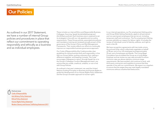## **Our Policies**

As outlined in our 2017 Statement, we have a number of internal Group policies and procedures in place that reflect our commitment to operating responsibly and ethically as a business and as individual employees.

These include our internal Ethics and Responsible Business, Colleague, Sourcing, Speak Up (whistleblowing) and Anti-Bribery policies. Each business area is required to set its strategies in line with our risk appetite and our policy requirements. These Group policies, associated procedures and mandatory training are reviewed annually as part of the governance of the Group's Policy and Risk Management Frameworks. Their review reflects our efforts to continually improve our responsible business governance approach.

Our Code of Responsibility (the Code) provides clear guidelines for doing business fairly and responsibly, in line with our Group Values: putting customers first; making a difference together; and keeping it simple. The Code encourages colleagues to report, through Speak Up or to the Group's Colleague Conduct Management team, any actions that are unsafe, unethical, unlawful, or not in line with Group Policies.

As outlined in last year's statement, we used the United Nations Guiding Principles on Business and Human Rights to guide the development of our Human Rights Policy Statement and the Group's broader approach to human rights.

In our internal operations, our Pre-employment Vetting policy and Group Wide Vetting Standards, apply to all permanent and non-permanent employees that we recruit, including temporary staff and contractors. The Pre-employment Vetting process upholds our respect for labour rights. It includes the review of individuals' proof of identity, address, and right to work in the UK.

We have recognition agreements with two trade unions, Accord and Unite, which collectively negotiate on behalf of 98 per cent of our UK employees and approximately 95 per cent of employees worldwide. The Living Wage Foundation has accredited the Group as a Living Wage Employer and we review our pay rates annually to ensure minimum rates are above statutory minimum wage requirements. We have worked, and continue to work, with third-party contractors and suppliers to ensure that they operate in line with our commitments. We expect our suppliers to ensure that the wages they pay meet legally mandated minimums without unauthorised deductions.

Find out more [Code of Responsibility](https://www.lloydsbankinggroup.com/globalassets/our-group/responsible-business/helping-britain-prosper-plan/2018-21_2-lbg_code_of_responsibility_external.pdf) [Anti-Bribery Policy Statement](https://www.lloydsbankinggroup.com/globalassets/our-group/responsible-business/download-centre/helping-britain-prosper-2017/lbg_-anti-bribery_policy_statement_june-2017.pdf) [Ethical Policy Statement](https://www.lloydsbankinggroup.com/globalassets/our-group/responsible-business/download-centre/ethical-policy-statement_november15.pdf) [Human Rights Policy Statement](https://www.lloydsbankinggroup.com/globalassets/our-group/responsible-business/reporting-centre/humanrightspolicystatement-180222.pdf) [Modern Slavery and Human Trafficking Statement 2017](https://www.lloydsbankinggroup.com/globalassets/our-group/responsible-business/reporting-centre/feb18_modern_slavery_2017_-final.pdf)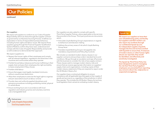## Our Policies

#### continued

#### Our suppliers

We expect all suppliers to conform to our Code of Supplier Responsibility which we share through the supplier contract as governed by our Business Sourcing Process. It defines our expectation in terms of responsible business behaviour, including human rights and labour issues. We require those suppliers going through the Financial Supplier Qualification System (FSQS) to confirm they have read, understood and comply with the Code of Supplier Responsibility and provide us with evidence to demonstrate their approach.

#### We expect suppliers to:

- Respect the human rights of their employees and comply with all relevant legislation, regulations and directives in the countries and communities where they operate
- Prohibit forced labour (slavery) and human trafficking in their supply chain and give their employees the right and ability to leave employment if they choose
- Prohibit child labour
- Ensure that wages meet legally mandated minimums without unauthorised deductions
- Allow their employees to exercise the legal right to organise and join associations (such as labour unions)
- Provide clear and uniformly applied disciplinary and grievance procedures including prohibiting mental, physical or verbal abuse
- Ensure working hours are in accordance with local regulation and industry practice and voluntary overtime is at a manageable level

Our suppliers are also asked to comply with specific Third-Party Supplier Policies, where applicable to the services they provide to the Group. Third party policies are documents which:

- Articulate Lloyds Banking Group's expectations in regards to behaviours and decision making
- Address the primary areas of risk which Lloyds Banking Group faces
- Translate Lloyds Banking Group's risk appetite into mandatory requirements and Policy Key Controls

We include our standard modern slavery clauses in our supplier contracts and purchase orders' standard terms and conditions. We go through an escalation and sign off process with the business to consider the risks of any supply contract. These clauses seek to manage modern slavery risks and ensure that we receive appropriate information on suppliers' supply chains and organisations, including copies of their modern slavery statements if they are required to report under the UK Modern Slavery Act.

Our suppliers have a contractual obligation to ensure compliance with all applicable laws that apply to their supply of goods and services to us, regardless of the jurisdiction in which they operate. This includes the UK Modern Slavery Act and any local legislation that is aimed at combating modern slavery.

#### Speak Up

We expect our suppliers to have their own whistleblowing policy and facility but suppliers and their workers can also report any incidents through our confidential Speak Up Line. An independent supplier, Expolink, manages the line and we have worked with Expolink to ensure that, if instances of modern slavery or other human rights abuses are reported, they would be identified, and effectively and sensitively investigated.

The Speak Up Third-Party Policy has been designed to assist in managing the risk that Third-Party Suppliers' employees are prevented from reporting any concerns about risk, malpractice or suspected wrongdoing.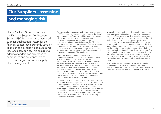# Our Suppliers – assessing and managing risk

Lloyds Banking Group subscribes to the Financial Supplier Qualification System (FSQS), a third-party managed supplier qualification system for the financial sector that is currently used by 18 major banks, building societies and insurance companies. This ensures we adopt a standardised approach to compliance and assurance, which forms an integral part of our supply chain management.

We take a risk-based approach and annually require our top c.1,200 suppliers to self-attest their compliance to the Group's policy expectations. As part of the FSQS, these suppliers are asked to provide evidence of processes and procedures for assessing and complying with relevant human rights legislation and labour standards, including the UK Modern Slavery Act. It is a mandatory requirement for these suppliers to complete the FSQS questions on an annual basis, and employees who manage the supplier relationship (Supplier Managers) must confirm that this is satisfactorily completed throughout the duration of the supplier's contract.

If a supplier provides a non-compliant answer to any Responsible Business FSQS question such as the occurrence of an employment tribunal in the last three years, or non-compliance with the UK Modern Slavery Act, Supplier Managers are required to investigate and manage through to resolution. If the issue is deemed sufficiently serious or cannot be resolved in a reasonable timeframe, the Group may undertake a review of the terms of the contract. The Group is currently reviewing the FSQS risk framework to introduce additional questions that trigger a 'red flag', prompting further investigative action and remediation. Any changes resulting from this review will be implemented in 2019.

For suppliers which represent the highest risk exposure to the Group, the Group Sourcing Supplier Assurance team conducts an annual programme of assurance reviews based on criticality. Suppliers that trigger agreed risk criteria are selected for an onsite supplier assurance visit. This review will test the supplier's adherence to relevant Group policies which includes an assessment of modern slavery as appropriate. In 2018, there were c.180 site visits and no instances of modern slavery or human trafficking were identified.

As part of our risk-based approach to supplier management, we analyse suppliers based on geography, service sectors and spend. The majority of our direct suppliers represent a traditionally low risk of modern slavery. According to the 2018 Global Slavery Index, 99 per cent of our suppliers are in geographies that are considered low risk for modern slavery; 95 per cent of our direct suppliers are located in the UK, 3 per cent in other European countries, 1 per cent in North America and the remaining 1 per cent in other countries, including India, Israel and Hong Kong. Additionally, over 80 per cent of our external supplier spend is in service sectors considered low risk, and analysis of the remaining 20 per cent potential high-risk service sectors shows that 99 per cent of spend is covered by FSQS and 99.6 per cent of this spend is through entities within the UK.

As outlined in last year's statement, where we have suppliers in recognised higher risk service sectors such as cleaning. catering, property, security and uniform providers we ensure that a dedicated Supplier Manager supports these relationships.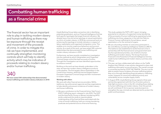# Combatting human trafficking

## as a financial crime

The financial sector has an important role to play in tackling modern slavery and human trafficking as there may be exposure through the receipt and movement of the proceeds of crime. In order to mitigate this risk we have implemented, and continually strengthen monitoring controls which will help to identify activity which may be indicative of proceeds relating to modern slavery and/or human trafficking.

# 340

We have exited 340 relationships that demonstrated human trafficking and modern slavery indicators in 2018 Lloyds Banking Group takes a proactive role in identifying potential perpetrators, and our Financial Intelligence Unit has built specific typologies that target financial indicators. We already have a live and active typology on sexual exploitation, as a form of modern slavery. In 2018 we commenced work on enhancing this typology to include indicators in respect of labour exploitation and organised immigration crime. This enables us to monitor suspicious behaviours and account activity. As a result of this work, we have exited 340 customer relationships that demonstrated human trafficking and modern slavery indicators in 2018.

Furthermore, we have recently completed an investigation into the methods by which Gangmasters and Organised Criminal Gangs control the bank accounts of victims. Through this investigation we have identified opportunities to enhance controls.

Building on the work we have already undertaken in this area, we have two modern slavery intelligence products in the pipeline. The first targets Labour Exploitation in the Construction Industry, whilst the second targets Eastern European Organised Criminal Gangs and their involvement in modern slavery.

#### Working with others

We work with other financial service providers, NGOs, taskforces, law enforcement agencies and key organisations to help identify and prevent incidences of modern slavery and human trafficking.

• We were contributors to the Financial Action Task Force's (FATF) Trafficking report, released in July 2018. The FATF and the Asia/Pacific Group on Money Laundering (APG) jointly undertook this study to improve global understanding of the financial flows associated with the crime of human trafficking, both as a money laundering predicate and potential source of terrorist financing.

This study updates the FATF's 2011 report, bringing granularity to indicators of suspected money laundering of the proceeds of human trafficking by separating human trafficking into three categories in line with the Palermo Protocol: human trafficking for forced labour, sexual exploitation or for the removal of organs.

- We are a founding member of, and active participant in, the Joint Money Laundering Intelligence Taskforce (JMLIT). The taskforce was established to tackle financial crime in partnership with the financial sector and government and has five operational priorities, one of which is human trafficking and modern slavery. The Group Fraud and Financial Crime Prevention's Financial Intelligence Unit has made human trafficking and modern slavery a primary area of focus.
- This year, we have collaborated with others on the Traffik Analysis Hub (TAHub), a new solution designed to share vital trafficking information across all sectors. The overall concept is conceived and led by STOP THE TRAFFIK. The aim is to be able to predict future incidents of human trafficking before they occur through identifying financial patterns, trafficking routes, hotspots of community trafficking activity and vulnerability across complex supply chains.
- In August 2018, Lloyds Banking Group signed a three-year partnership agreement with the City of London police to help fight economic crime in the UK, including those relating to human trafficking and modern slavery. Over this period, we will contribute £1.5m to sponsor several projects to strengthen the way criminals are detected and to protect the public and businesses.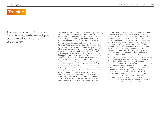## **Training**

To raise awareness of this priority area for our business, we have developed and delivered training courses and guidance.

- The Group enhanced its core annual Anti Money Laundering mandatory training module by including information in relation to human trafficking and the 'red flags' that will assist colleagues in detecting and reporting this activity. A specific modern slavery case was provided as an example.
- Training on specific commercial sectors was delivered in March 2018 to Commercial Banking colleagues and 1,100 clients. The objective of the training was to raise awareness of the issue, and support customers to be able to identify cases of modern slavery, for instance through 'red flag' indicators such as financial control and signs of restricted freedom. This included an overview of sectors in which the risk of forced labour may be higher such as agriculture, car washes, nail bars, hospitality and construction.
- Training and guidance for specialist Group Sourcing and Supplier Manager colleagues on the requirements of the UK Modern Slavery Act and the risks of slavery and human trafficking. The content from this training is also available for colleagues to replay and to download for future reference.
- All employees are required to review the Code of Responsibility and complete Speak Up (whistleblowing) training every year as part of the mandatory training curriculum. After training they are expected to understand their responsibilities and to adhere to them every day.
- Our Financial Crime team rolled out training in November 2018 available to all colleagues via a WebEx Masterclass during Financial Crime Awareness Week. The training covered Know Your Client (KYC), Behavioural and Transactional Indicators as relates to financial flows from human trafficking. It also included details of high-risk industries, such as agriculture, construction, healthcare, catering/hospitality and food processing, and provided real life case studies relating to labour and sexual exploitation. There were 190 colleagues that participated in the live WebEx, and a further 50 have listened to the recording and downloaded the content to date.
- We developed a series of videos covering the wider financial crime environment with a focus on Suspicious Activity Reporting, in which human trafficking is referenced. Some of these videos include what front line staff should do if they suspect any wrong doing. Next year we plan to raise further awareness amongst colleagues responsible for reporting suspicious activities from the Transaction Monitoring system. We will do this using the Toolkit for Tackling Human Trafficking, developed by the Thomson Reuters Foundation and the European Bank Alliance. This Toolkit outlines some of the strong and medium indicators of human trafficking, such as payments to labour agencies, recruiters or employment websites.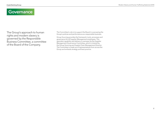### **Governance**

The Group's approach to human rights and modern slavery is governed by the Responsible Business Committee, a committee of the Board of the Company.

The Committee's role is to support the Board in overseeing the Group's policies and performance as a responsible business.

Group Sourcing provides the framework, tools, processes and governance for all Supplier Management employees. This specialist capability and delivery is overseen by the Supplier Management Governance Committee, which is chaired by the Group Sourcing and Supply Chain Management Director. The Committee is made up of representatives from across the Group and embeds strategy and best practice.